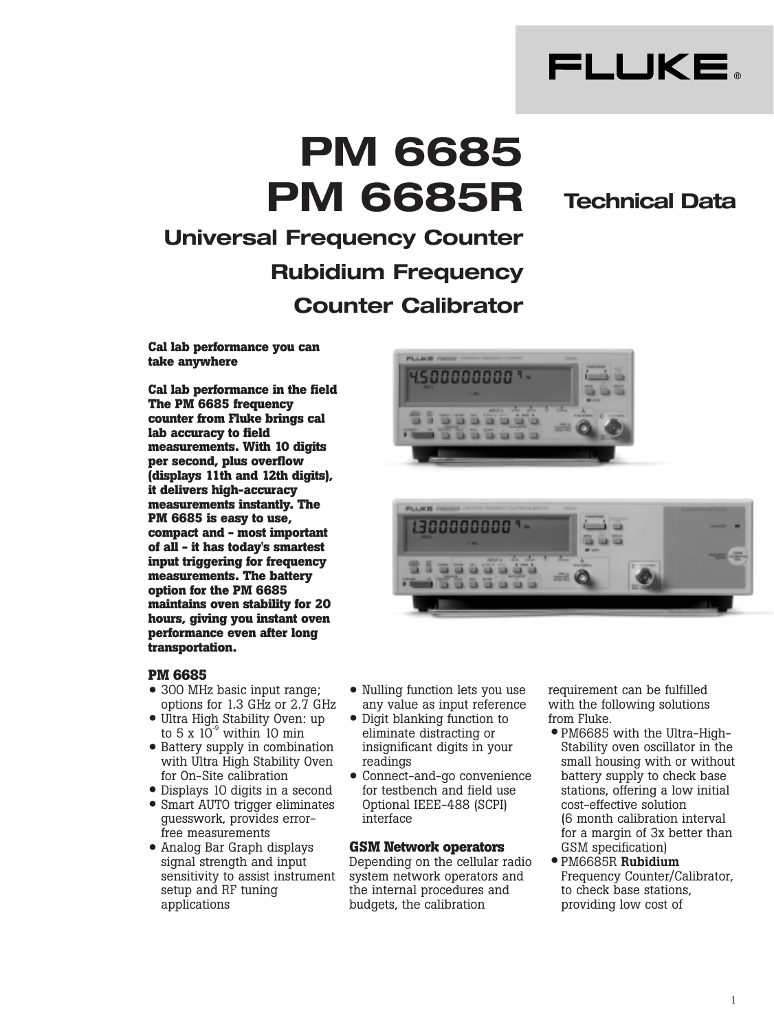

# **PM 6685 PM 6685R**

### **Technical Data**

## **Universal Frequency Counter Rubidium Frequency Counter Calibrator**

**Cal lab performance you can take anywhere**

**Cal lab performance in the field The PM 6685 frequency counter from Fluke brings cal lab accuracy to field measurements. With 10 digits per second, plus overflow (displays 11th and 12th digits), it delivers high-accuracy measurements instantly. The PM 6685 is easy to use, compact and - most important of all - it has today's smartest input triggering for frequency measurements. The battery option for the PM 6685 maintains oven stability for 20 hours, giving you instant oven performance even after long transportation.** 



- 300 MHz basic input range;<br>entime for 1.3 CHz or 2.7 C options for 1.3 GHz or 2.7 GHz
- Ultra High Stability Oven: up<br>to  $\frac{E}{V} \times 10^{-9}$  within 10 min to  $5 \times 10^{-9}$  within 10 min
- Battery supply in combination with Ultra High Stability Oven for On-Site calibration
- Displays 10 digits in a second
- Smart AUTO trigger eliminates guesswork, provides errorfree measurements
- Analog Bar Graph displays signal strength and input sensitivity to assist instrument setup and RF tuning applications





- Nulling function lets you use any value as input reference
- Digit blanking function to<br>eliminate distracting or eliminate distracting or insignificant digits in your readings
- Connect-and-go convenience for testbench and field use Optional IEEE-488 (SCPI) interface

#### **GSM Network operators**

Depending on the cellular radio system network operators and the internal procedures and budgets, the calibration

requirement can be fulfilled with the following solutions from Fluke.

- PM6685 with the Ultra-High-Stability oven oscillator in the small housing with or without battery supply to check base stations, offering a low initial cost-effective solution (6 month calibration interval for a margin of 3x better than GSM specification)
- PM6685R **Rubidium** •Frequency Counter/Calibrator, to check base stations, providing low cost of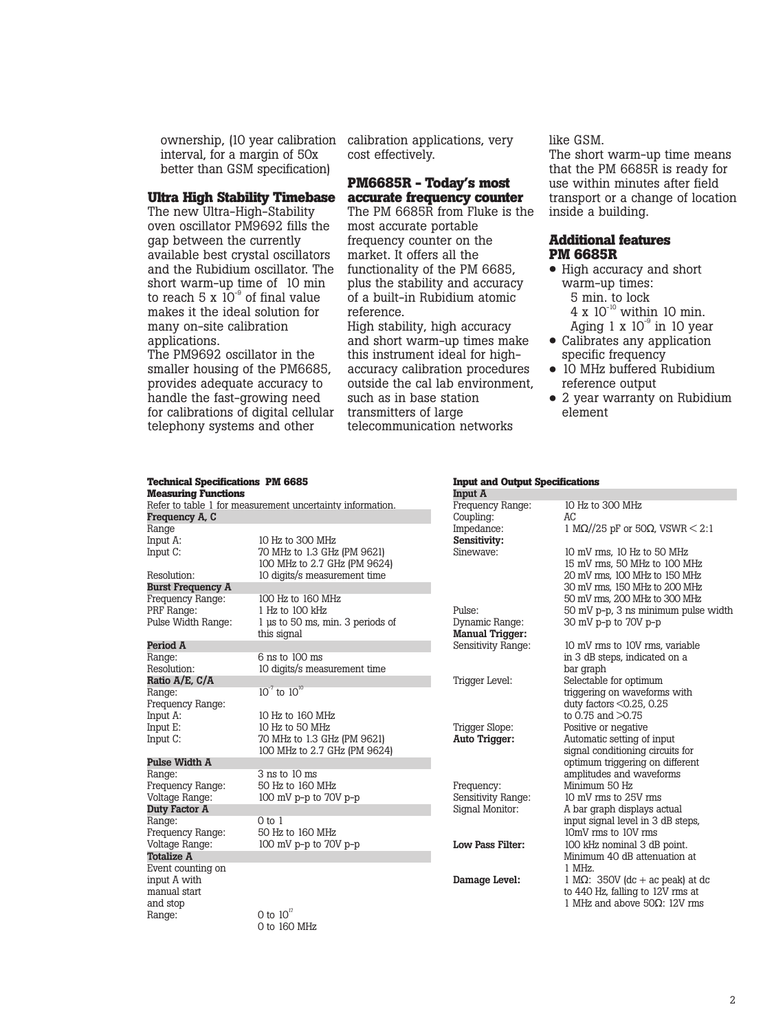ownership, (10 year calibration interval, for a margin of 50x better than GSM specification)

#### **Ultra High Stability Timebase**

The new Ultra-High-Stability oven oscillator PM9692 fills the gap between the currently available best crystal oscillators and the Rubidium oscillator. The short warm-up time of 10 min to reach 5 x  $10^{-9}$  of final value makes it the ideal solution for many on-site calibration applications.

The PM9692 oscillator in the smaller housing of the PM6685, provides adequate accuracy to handle the fast-growing need for calibrations of digital cellular telephony systems and other

calibration applications, very cost effectively.

#### **PM6685R - Today's most accurate frequency counter**

The PM 6685R from Fluke is the most accurate portable frequency counter on the market. It offers all the functionality of the PM 6685, plus the stability and accuracy of a built-in Rubidium atomic reference.

High stability, high accuracy and short warm-up times make this instrument ideal for highaccuracy calibration procedures outside the cal lab environment, such as in base station transmitters of large telecommunication networks

like GSM.

The short warm-up time means that the PM 6685R is ready for use within minutes after field transport or a change of location inside a building.

#### **Additional features PM 6685R**

- High accuracy and short warm-up times: 5 min. to lock 4 x  $10^{-10}$  within 10 min. Aging  $1 \times 10^{-9}$  in 10 year
- Calibrates any application specific frequency
- 10 MHz buffered Rubidium reference output
- 2 year warranty on Rubidium element

#### **Technical Specifications PM 6685 Measuring Functions** Refer to table 1 for measurement uncertainty information. **Frequency A, C** Range<br>Input A: Input A: 10 Hz to 300 MHz<br>Input C: 70 MHz to 1.3 GHz 70 MHz to 1.3 GHz (PM 9621) 100 MHz to 2.7 GHz (PM 9624) Resolution: 10 digits/s measurement time **Burst Frequency A**  Frequency Range: 100 Hz to 160 MHz<br>PRF Range: 1 Hz to 100 kHz PRF Range: 1 Hz to 100 kHz<br>Pulse Width Range: 1 us to 50 ms, m 1 µs to 50 ms, min. 3 periods of this signal **Period A** Range: 6 ns to 100 ms<br>Resolution: 10 digits/s mea 10 digits/s measurement time **Ratio A/E, C/A** Range:  $10^{-7}$  to  $10^{10}$ Frequency Range:<br>Input A: 10 Hz to 160 MHz Input E: 10 Hz to 50 MHz<br>Input C: 70 MHz to 1.3 GH 70 MHz to 1.3 GHz (PM 9621) 100 MHz to 2.7 GHz (PM 9624) **Pulse Width A** 3 ns to 10 ms<br>50 Hz to 160 MHz Frequency Range:<br>Voltage Range:  $100$  mV p-p to  $70V$  p-p **Duty Factor A** Range: 0 to 1<br>Prequency Range: 50 Hz to 160 MHz Frequency Range:<br>Voltage Range: 100 mV p-p to 70V p-p **Totalize A** Event counting on input A with manual start and stop<br>Range: O to  $10^{17}$ **Input A** Frequene Coupling Impedan **Sensitiv**:<br>Sineway Dynamic **Manual**<br>Sensitivi Trigger L Trigger S Auto Trigger: Frequend Sensitivit Signal M Damage

0 to 160 MHz

#### **Input and Output Specifications**

| Input A                 |                                                       |
|-------------------------|-------------------------------------------------------|
| Frequency Range:        | 10 Hz to 300 MHz                                      |
| Coupling:               | ĀC.                                                   |
| Impedance:              | 1 M $\Omega$ //25 pF or 50 $\Omega$ , VSWR $\leq$ 2:1 |
| <b>Sensitivity:</b>     |                                                       |
| Sinewave:               | 10 mV rms, 10 Hz to 50 MHz                            |
|                         | 15 mV rms, 50 MHz to 100 MHz                          |
|                         | 20 mV rms, 100 MHz to 150 MHz                         |
|                         | 30 mV rms, 150 MHz to 200 MHz                         |
|                         | 50 mV rms, 200 MHz to 300 MHz                         |
| Pulse:                  | 50 mV p-p, 3 ns minimum pulse width                   |
| Dynamic Range:          | 30 mV p-p to 70V p-p                                  |
| <b>Manual Trigger:</b>  |                                                       |
| Sensitivity Range:      | 10 mV rms to 10V rms, variable                        |
|                         | in 3 dB steps, indicated on a                         |
|                         | bar graph                                             |
| Trigger Level:          | Selectable for optimum                                |
|                         | triggering on waveforms with                          |
|                         | duty factors $\leq 0.25$ , 0.25                       |
|                         | to 0.75 and $>0.75$                                   |
| Trigger Slope:          | Positive or negative                                  |
| Auto Trigger:           | Automatic setting of input                            |
|                         | signal conditioning circuits for                      |
|                         | optimum triggering on different                       |
|                         | amplitudes and waveforms                              |
| Frequency:              | Minimum 50 Hz                                         |
| Sensitivity Range:      | 10 mV rms to 25V rms                                  |
| Signal Monitor:         | A bar graph displays actual                           |
|                         | input signal level in 3 dB steps,                     |
|                         | 10mV rms to 10V rms                                   |
| <b>Low Pass Filter:</b> | 100 kHz nominal 3 dB point.                           |
|                         | Minimum 40 dB attenuation at                          |
|                         | 1 MHz.                                                |
| Damage Level:           | 1 M $\Omega$ : 350V (dc + ac peak) at dc              |
|                         | to 440 Hz, falling to 12V rms at                      |
|                         | 1 MHz and above $50\Omega$ : 12V rms                  |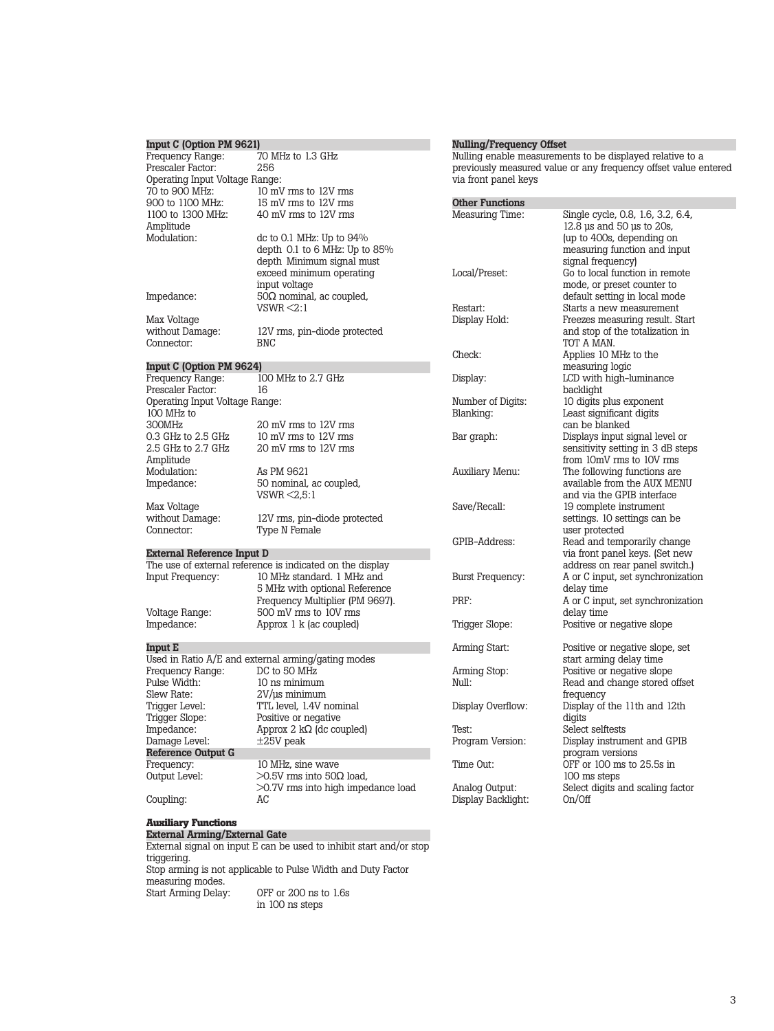### **Input C (Option PM 9621)**

| mhar o lohnon tin aosti           |                                                           |
|-----------------------------------|-----------------------------------------------------------|
| Frequency Range:                  | 70 MHz to 1.3 GHz                                         |
| Prescaler Factor:                 | 256                                                       |
| Operating Input Voltage Range:    |                                                           |
| 70 to 900 MHz:                    | 10 mV rms to 12V rms                                      |
| 900 to 1100 MHz:                  | 15 mV rms to 12V rms                                      |
| 1100 to 1300 MHz:                 | 40 mV rms to 12V rms                                      |
| Amplitude                         |                                                           |
| Modulation:                       | dc to 0.1 MHz: Up to $94\%$                               |
|                                   | depth $0.1$ to 6 MHz: Up to 85%                           |
|                                   | depth Minimum signal must<br>exceed minimum operating     |
|                                   | input voltage                                             |
| Impedance:                        | $50\Omega$ nominal, ac coupled,                           |
|                                   | $VSWR \leq 2:1$                                           |
| Max Voltage                       |                                                           |
| without Damage:                   | 12V rms, pin-diode protected                              |
| Connector:                        | BNC                                                       |
|                                   |                                                           |
| Input C (Option PM 9624)          |                                                           |
| Frequency Range:                  | 100 MHz to 2.7 GHz                                        |
| Prescaler Factor:                 | 16                                                        |
| Operating Input Voltage Range:    |                                                           |
| 100 MHz to                        |                                                           |
| 300MHz                            | 20 mV rms to 12V rms                                      |
| 0.3 GHz to 2.5 GHz                | 10 mV rms to 12V rms                                      |
| 2.5 GHz to 2.7 GHz                | 20 mV rms to 12V rms                                      |
| Amplitude                         |                                                           |
| Modulation:<br>Impedance:         | As PM 9621                                                |
|                                   | 50 nominal, ac coupled,<br>$VSWR \leq 2.5:1$              |
| Max Voltage                       |                                                           |
| without Damage:                   | 12V rms, pin-diode protected                              |
| Connector:                        | Type N Female                                             |
|                                   |                                                           |
| <b>External Reference Input D</b> |                                                           |
|                                   | The use of external reference is indicated on the display |
| Input Frequency:                  | 10 MHz standard. 1 MHz and                                |
|                                   | 5 MHz with optional Reference                             |
|                                   | Frequency Multiplier (PM 9697).                           |
| Voltage Range:                    | 500 mV rms to 10V rms                                     |
| Impedance:                        | Approx 1 k (ac coupled)                                   |
|                                   |                                                           |
| Input E                           | Used in Ratio A/E and external arming/gating modes        |
| Frequency Range:                  | DC to 50 MHz                                              |
| Pulse Width:                      | 10 ns minimum                                             |
| Slew Rate:                        | $2V/\mu s$ minimum                                        |
| Trigger Level:                    | TTL level, 1.4V nominal                                   |
| Trigger Slope:                    | Positive or negative                                      |
| Impedance:                        | Approx 2 $k\Omega$ (dc coupled)                           |
| Damage Level:                     | $\pm 25V$ peak                                            |
| Reference Output G                |                                                           |
| Frequency:                        | 10 MHz, sine wave                                         |
| Output Level:                     | $>0.5V$ rms into 50 $\Omega$ load,                        |
|                                   | >0.7V rms into high impedance load                        |

#### **Nulling/Frequency Offset**

Nulling enable measurements to be displayed relative to a previously measured value or any frequency offset value entered via front panel keys

#### **Other Functions**<br>Measuring Time: Single cycle, 0.8, 1.6, 3.2, 6.4, 12.8 µs and 50 µs to 20s, (up to 400s, depending on measuring function and input signal frequency) Local/Preset: Go to local function in remote mode, or preset counter to default setting in local mode Restart: Starts a new measurement<br>Display Hold: Freezes measuring result. St Freezes measuring result. Start and stop of the totalization in TOT A MAN. Check: Applies 10 MHz to the measuring logic Display: LCD with high-luminance backlight Number of Digits: 10 digits plus exponent<br>Blanking: Least significant digits Least significant digits can be blanked Bar graph: Displays input signal level or sensitivity setting in 3 dB steps from 10mV rms to 10V rms Auxiliary Menu: The following functions are available from the AUX MENU and via the GPIB interface Save/Recall: 19 complete instrument settings. 10 settings can be user protected GPIB-Address: Read and temporarily change via front panel keys. (Set new address on rear panel switch.) Burst Frequency: A or C input, set synchronization delay time PRF: A or C input, set synchronization delay time Trigger Slope: Positive or negative slope Arming Start: Positive or negative slope, set start arming delay time Arming Stop: Positive or negative slope<br>Null: Read and change stored o Read and change stored offset frequency Display Overflow: Display of the 11th and 12th digits Test: Select selftests<br>Program Version: Display instrum Display instrument and GPIB program versions Time Out: OFF or 100 ms to 25.5s in 100 ms steps Analog Output: Select digits and scaling factor<br>Display Backlight: On/Off Display Backlight:

#### **Auxiliary Functions**

Coupling: AC

**External Arming/External Gate**  External signal on input E can be used to inhibit start and/or stop triggering. Stop arming is not applicable to Pulse Width and Duty Factor measuring modes.<br>Start Arming Delay: OFF or 200 ns to 1.6s in 100 ns steps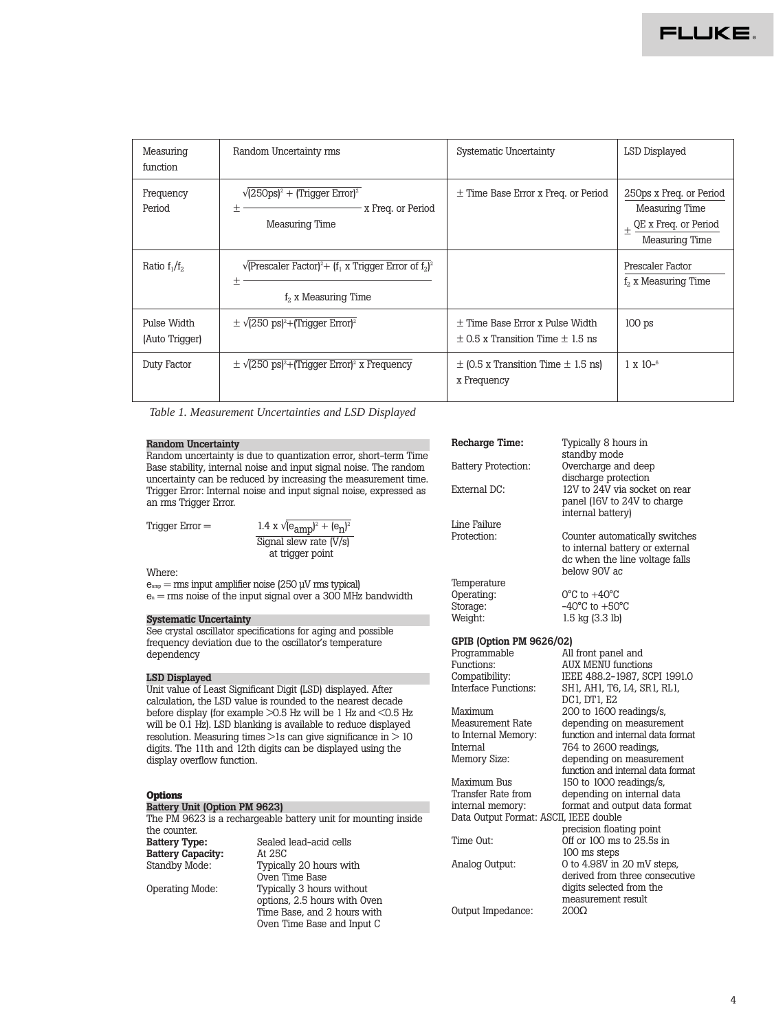| Measuring<br>function         | Random Uncertainty rms                                                                                                  | <b>Systematic Uncertainty</b>                                                   | LSD Displayed                                                                                        |
|-------------------------------|-------------------------------------------------------------------------------------------------------------------------|---------------------------------------------------------------------------------|------------------------------------------------------------------------------------------------------|
| Frequency<br>Period           | $\sqrt{(250 \text{ps})^2 + (T \text{rigger Error})^2}$<br>x Freq. or Period<br>土<br>Measuring Time                      | $\pm$ Time Base Error x Freq. or Period                                         | 250ps x Freq. or Period<br><b>Measuring Time</b><br>QE x Freq. or Period<br>$^{+}$<br>Measuring Time |
| Ratio $f_1/f_2$               | $\sqrt{\text{[Prescale I Factor]}^2 + \text{[f}_1 \times \text{Trigger Error of } f_2^2}$<br>土<br>$f2$ x Measuring Time |                                                                                 | Prescaler Factor<br>$f2$ x Measuring Time                                                            |
| Pulse Width<br>(Auto Trigger) | $\pm \sqrt{(250 \text{ ps})^2 + (Trigger Error)^2}$                                                                     | $\pm$ Time Base Error x Pulse Width<br>$\pm$ 0.5 x Transition Time $\pm$ 1.5 ns | 100 <sub>ps</sub>                                                                                    |
| Duty Factor                   | $\pm \sqrt{(250 \text{ ps})^2 + (Tright) \cdot (T)}$ x Frequency                                                        | $\pm$ (0.5 x Transition Time $\pm$ 1.5 ns)<br>x Frequency                       | $1 \times 10^{-6}$                                                                                   |

*Table 1. Measurement Uncertainties and LSD Displayed*

#### **Random Uncertainty**

Random uncertainty is due to quantization error, short-term Time Base stability, internal noise and input signal noise. The random uncertainty can be reduced by increasing the measurement time. Trigger Error: Internal noise and input signal noise, expressed as an rms Trigger Error.

Trigger  $Error =$ 

| 1.4 x $\sqrt{(e_{amp})^2 + (e_n)^2}$ |
|--------------------------------------|
| Signal slew rate $(\overline{V/s})$  |
| at trigger point                     |

#### Where:

 $e<sub>amp</sub> = rms input ambient noise (250 uV rms typical)$  $e_n = rms$  noise of the input signal over a 300 MHz bandwidth

#### **Systematic Uncertainty**

See crystal oscillator specifications for aging and possible frequency deviation due to the oscillator's temperature dependency

#### **LSD Displayed**

Unit value of Least Significant Digit (LSD) displayed. After calculation, the LSD value is rounded to the nearest decade before display (for example >0.5 Hz will be 1 Hz and <0.5 Hz will be 0.1 Hz). LSD blanking is available to reduce displayed resolution. Measuring times  $>1s$  can give significance in  $>10$ digits. The 11th and 12th digits can be displayed using the display overflow function.

#### **Options**

#### **Battery Unit (Option PM 9623)**

The PM 9623 is a rechargeable battery unit for mounting inside the counter.<br>Battery Type: Sealed lead-acid cells<br>At 25C **Battery Capacity:**<br>Standby Mode: Typically 20 hours with Oven Time Base Operating Mode: Typically 3 hours without options, 2.5 hours with Oven Time Base, and 2 hours with Oven Time Base and Input C

#### **Recharge Time:** Typically 8 hours in standby mode Battery Protection: Overcharge and deep discharge protection External DC: 12V to 24V via socket on rear panel (16V to 24V to charge internal battery) Line Failure<br>Protection: Counter automatically switches to internal battery or external dc when the line voltage falls below 90V ac Temperature<br>Operating: Operating: 0°C to +40°C<br>Storage: -40°C to +50 Storage:  $-40^{\circ}$ C to  $+50^{\circ}$ C<br>Weight:  $1.5$  kg (3.3 lb) 1.5 kg (3.3 lb) **GPIB (Option PM 9626/02)** Programmable All front panel and<br>Functions: AIIX MENII function Functions: AUX MENU functions<br>
Compatibility: IEEE 488.2-1987, SC Compatibility: IEEE 488.2-1987, SCPI 1991.0<br>Interface Functions: SH1. AH1. T6. I.4. SR1. RL1. SH1, AH1, T6, L4, SR1, RL1, DC1, DT1, E2 Maximum 200 to 1600 readings/s,<br>Measurement Rate depending on measuren Measurement Rate depending on measurement<br>to Internal Memory: function and internal data form to Internal Memory: function and internal data format<br>Internal 764 to 2600 readings. Internal 764 to 2600 readings,<br>Memory Size: depending on measure depending on measurement function and internal data format Maximum Bus 150 to 1000 readings/s,<br>Transfer Rate from depending on internal c Transfer Rate from depending on internal data<br>internal memory: format and output data form format and output data format Data Output Format: ASCII, IEEE double precision floating point Time Out: Off or 100 ms to 25.5s in 100 ms steps Analog Output: 0 to 4.98V in 20 mV steps,

derived from three consecutive

digits selected from the measurement result<br> $200\Omega$ Output Impedance: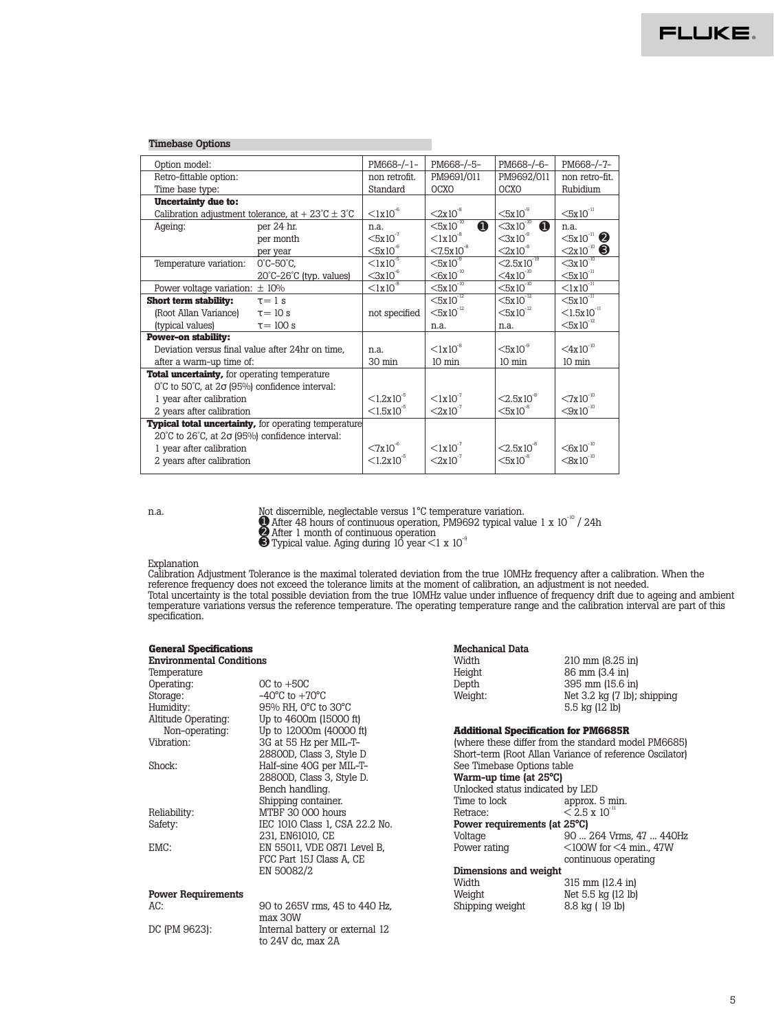| <b>Timebase Options</b>                                                   |                                                                        |                           |                                        |                                        |                               |
|---------------------------------------------------------------------------|------------------------------------------------------------------------|---------------------------|----------------------------------------|----------------------------------------|-------------------------------|
| Option model:                                                             |                                                                        | PM668-/-1-                | PM668-/-5-                             | PM668-/-6-                             | PM668-/-7-                    |
| Retro-fittable option:                                                    |                                                                        | non retrofit.             | PM9691/011                             | PM9692/011                             | non retro-fit.                |
| Time base type:                                                           |                                                                        | Standard                  | <b>OCXO</b>                            | <b>OCXO</b>                            | Rubidium                      |
| <b>Uncertainty due to:</b>                                                |                                                                        |                           |                                        |                                        |                               |
|                                                                           | Calibration adjustment tolerance, at $+23^{\circ}$ C $\pm 3^{\circ}$ C | $<1x10^{-6}$              | $<2x10^{-8}$                           | $<5x10$ <sup>9</sup>                   | $<5x10^{-11}$                 |
| Ageing:                                                                   | per 24 hr.                                                             | n.a.                      | $<$ 5x10 <sup>-10</sup><br>$\mathbf o$ | $<$ 3x10 <sup>-10</sup><br>$\mathbf 0$ | n.a.                          |
|                                                                           | per month                                                              | $<5x10^{-7}$              | $< 1x10^{-8}$                          | $<$ 3x10 <sup>-9</sup>                 | $<5x10^{-11}$ 2               |
|                                                                           | per year                                                               | $<5x10^{-6}$              | $< 7.5 \times 10^{-8}$                 | $<2x10^{-8}$                           | $2x10^{-10}$ $\odot$          |
| Temperature variation:                                                    | $0^{\circ}$ C-50 $^{\circ}$ C,                                         | $<1x10^{-5}$              | $<5x10$ <sup>9</sup>                   | $< 2.5x10^{-19}$                       | $<3x10^{-10}$                 |
|                                                                           | $20^{\circ}$ C- $26^{\circ}$ C (typ. values)                           | $\leq 3x10^{-6}$          | $\leq 6x10^{-10}$                      | $\leq 4x10^{-10}$                      | $\leq 5 \times 10^{-11}$      |
| Power voltage variation: $\pm$ 10%                                        |                                                                        | $\leq 1 \times 10^{-8}$   | $\leq$ 5x10 <sup>-10</sup>             | $\leq 5 \times 10^{-10}$               | $\leq 1 \times 10^{-11}$      |
| <b>Short term stability:</b>                                              | $\tau = 1$ s                                                           |                           | $<\!\!5x10^{-12}$                      | $<\!\!5x\overline{10}^{12}$            | $<5x10^{-11}$                 |
| (Root Allan Variance)                                                     | $\tau = 10$ s                                                          | not specified             | $<5x10^{-12}$                          | $<5x10^{-12}$                          | $< 1.5x10^{-11}$              |
| (typical values)                                                          | $\tau = 100$ s                                                         |                           | n.a.                                   | n.a.                                   | $<5x10^{-12}$                 |
| <b>Power-on stability:</b>                                                |                                                                        |                           |                                        |                                        |                               |
| Deviation versus final value after 24hr on time,                          |                                                                        | n.a.                      | $< 1x10^{-8}$                          | $<5x10^{\degree}$                      | $<$ 4x10 <sup>-10</sup>       |
| after a warm-up time of:                                                  |                                                                        | 30 min                    | $10 \text{ min}$                       | $10 \text{ min}$                       | $10 \text{ min}$              |
| <b>Total uncertainty, for operating temperature</b>                       |                                                                        |                           |                                        |                                        |                               |
| $0^{\circ}$ C to 50 $^{\circ}$ C, at $2\sigma$ (95%) confidence interval: |                                                                        |                           |                                        |                                        |                               |
| 1 year after calibration                                                  |                                                                        | $\leq 1.2 \times 10^{-5}$ | $<1x10^{-7}$                           | $< 2.5x10^{-8}$                        | $<7x10^{-10}$                 |
| 2 years after calibration                                                 |                                                                        | $\leq 1.5 \times 10^{-5}$ | $< 2x10^{-7}$                          | $<5x10^3$                              | $<\!\!9x10^{^{\mathrm{-}10}}$ |
| <b>Typical total uncertainty, for operating temperature</b>               |                                                                        |                           |                                        |                                        |                               |
| $20^{\circ}$ C to $26^{\circ}$ C, at $2\sigma$ (95%) confidence interval: |                                                                        |                           |                                        |                                        |                               |
| 1 year after calibration                                                  |                                                                        | $<7x10^{\circ}$           | $<1x10^{-7}$                           | $< 2.5x10^{-8}$                        | $<\!\!6x10^{10}$              |
| 2 years after calibration                                                 |                                                                        | $< 1.2x10^{-5}$           | $2x10^{-7}$                            | $<5x10^3$                              | $<8x10^{-10}$                 |
|                                                                           |                                                                        |                           |                                        |                                        |                               |

n.a. Not discernible, neglectable versus 1°C temperature variation. <sup>➊</sup>After 48 hours of continuous operation, PM9692 typical value 1 x 10-10 / 24h

➋ After 1 month of continuous operation

to 24V dc, max 2A

 $\bullet$  Typical value. Aging during 10 year  $\lt 1 \times 10^{-9}$ 

#### Explanation

Calibration Adjustment Tolerance is the maximal tolerated deviation from the true 10MHz frequency after a calibration. When the reference frequency does not exceed the tolerance limits at the moment of calibration, an adjustment is not needed. Total uncertainty is the total possible deviation from the true 10MHz value under influence of frequency drift due to ageing and ambient temperature variations versus the reference temperature. The operating temperature range and the calibration interval are part of this specification.

| <b>General Specifications</b>   |                                    | <b>Mechanical Data</b>                              |                                                         |
|---------------------------------|------------------------------------|-----------------------------------------------------|---------------------------------------------------------|
| <b>Environmental Conditions</b> |                                    | Width                                               | 210 mm (8.25 in)                                        |
| Temperature                     |                                    | Height                                              | 86 mm (3.4 in)                                          |
| Operating:                      | $OC$ to $+5OC$                     | Depth                                               | 395 mm (15.6 in)                                        |
| Storage:                        | $-40^{\circ}$ C to $+70^{\circ}$ C | Weight:                                             | Net $3.2 \text{ kg}$ (7 lb); shipping                   |
| Humidity:                       | 95% RH, 0°C to 30°C                |                                                     | 5.5 $kg(12 lb)$                                         |
| Altitude Operating:             | Up to 4600m (15000 ft)             |                                                     |                                                         |
| Non-operating:                  | Up to 12000m (40000 ft)            | <b>Additional Specification for PM6685R</b>         |                                                         |
| Vibration:                      | 3G at 55 Hz per MIL-T-             | (where these differ from the standard model PM6685) |                                                         |
|                                 | 28800D, Class 3, Style D           |                                                     | Short-term (Root Allan Variance of reference Oscilator) |
| Shock:                          | Half-sine 40G per MIL-T-           | See Timebase Options table                          |                                                         |
|                                 | 28800D, Class 3, Style D.          | Warm-up time (at 25°C)                              |                                                         |
|                                 | Bench handling.                    | Unlocked status indicated by LED                    |                                                         |
|                                 | Shipping container.                | Time to lock                                        | approx. 5 min.                                          |
| Reliability:                    | MTBF 30 000 hours                  | Retrace:                                            | $\leq$ 2.5 x 10 <sup>-11</sup>                          |
| Safety:                         | IEC 1010 Class 1, CSA 22.2 No.     | Power requirements (at 25°C)                        |                                                         |
|                                 | 231, EN61010, CE                   | Voltage                                             | 90  264 Vrms, 47  440Hz                                 |
| EMC:                            | EN 55011, VDE 0871 Level B,        | Power rating                                        | $\leq$ 100W for $\leq$ 4 min., 47W                      |
|                                 | FCC Part 15J Class A, CE           |                                                     | continuous operating                                    |
| EN 50082/2                      |                                    | Dimensions and weight                               |                                                         |
|                                 |                                    | Width                                               | $315$ mm $(12.4$ in                                     |
| <b>Power Requirements</b>       |                                    | Weight                                              | Net 5.5 kg (12 lb)                                      |
| AC:                             | 90 to 265V rms, 45 to 440 Hz,      | Shipping weight                                     | 8.8 kg (19 lb)                                          |
|                                 | max 30W                            |                                                     |                                                         |
| DC (PM 9623):                   | Internal battery or external 12    |                                                     |                                                         |